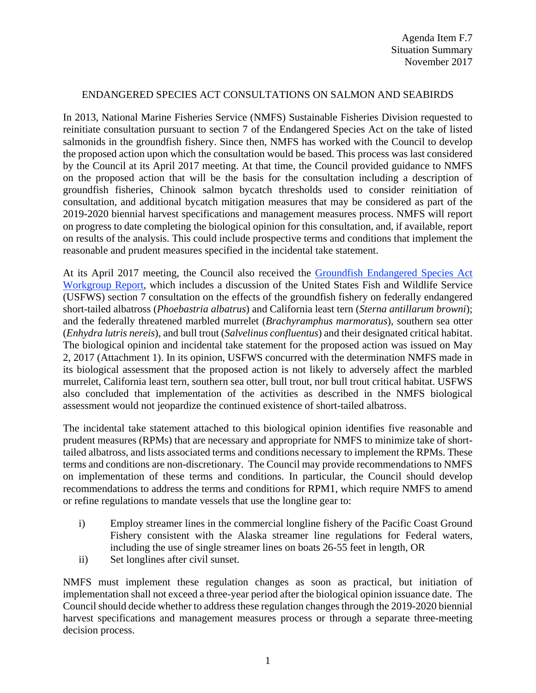## ENDANGERED SPECIES ACT CONSULTATIONS ON SALMON AND SEABIRDS

In 2013, National Marine Fisheries Service (NMFS) Sustainable Fisheries Division requested to reinitiate consultation pursuant to section 7 of the Endangered Species Act on the take of listed salmonids in the groundfish fishery. Since then, NMFS has worked with the Council to develop the proposed action upon which the consultation would be based. This process was last considered by the Council at its April 2017 meeting. At that time, the Council provided guidance to NMFS on the proposed action that will be the basis for the consultation including a description of groundfish fisheries, Chinook salmon bycatch thresholds used to consider reinitiation of consultation, and additional bycatch mitigation measures that may be considered as part of the 2019-2020 biennial harvest specifications and management measures process. NMFS will report on progress to date completing the biological opinion for this consultation, and, if available, report on results of the analysis. This could include prospective terms and conditions that implement the reasonable and prudent measures specified in the incidental take statement.

At its April 2017 meeting, the Council also received the [Groundfish Endangered Species Act](http://www.pcouncil.org/wp-content/uploads/2017/03/F5a_ESA_Workgroup_Rpt_3-17-2017_Apr2017BB.pdf)  [Workgroup Report,](http://www.pcouncil.org/wp-content/uploads/2017/03/F5a_ESA_Workgroup_Rpt_3-17-2017_Apr2017BB.pdf) which includes a discussion of the United States Fish and Wildlife Service (USFWS) section 7 consultation on the effects of the groundfish fishery on federally endangered short-tailed albatross (*Phoebastria albatrus*) and California least tern (*Sterna antillarum browni*); and the federally threatened marbled murrelet (*Brachyramphus marmoratus*), southern sea otter (*Enhydra lutris nereis*), and bull trout (*Salvelinus confluentus*) and their designated critical habitat. The biological opinion and incidental take statement for the proposed action was issued on May 2, 2017 (Attachment 1). In its opinion, USFWS concurred with the determination NMFS made in its biological assessment that the proposed action is not likely to adversely affect the marbled murrelet, California least tern, southern sea otter, bull trout, nor bull trout critical habitat. USFWS also concluded that implementation of the activities as described in the NMFS biological assessment would not jeopardize the continued existence of short-tailed albatross.

The incidental take statement attached to this biological opinion identifies five reasonable and prudent measures (RPMs) that are necessary and appropriate for NMFS to minimize take of shorttailed albatross, and lists associated terms and conditions necessary to implement the RPMs. These terms and conditions are non-discretionary. The Council may provide recommendations to NMFS on implementation of these terms and conditions. In particular, the Council should develop recommendations to address the terms and conditions for RPM1, which require NMFS to amend or refine regulations to mandate vessels that use the longline gear to:

- i) Employ streamer lines in the commercial longline fishery of the Pacific Coast Ground Fishery consistent with the Alaska streamer line regulations for Federal waters, including the use of single streamer lines on boats 26-55 feet in length, OR
- ii) Set longlines after civil sunset.

NMFS must implement these regulation changes as soon as practical, but initiation of implementation shall not exceed a three-year period after the biological opinion issuance date. The Council should decide whether to address these regulation changes through the 2019-2020 biennial harvest specifications and management measures process or through a separate three-meeting decision process.